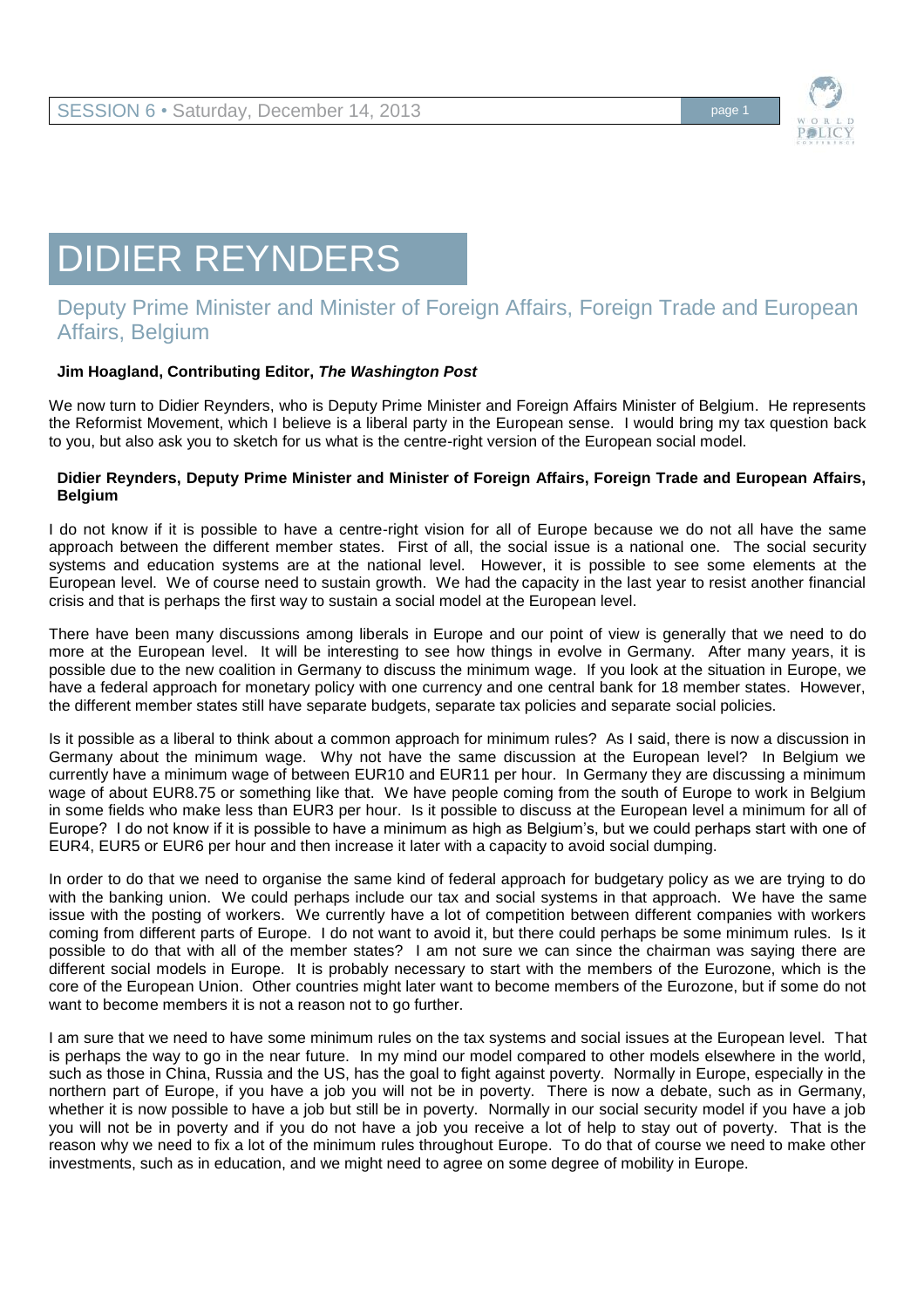

# DIDIER REYNDERS

# Deputy Prime Minister and Minister of Foreign Affairs, Foreign Trade and European Affairs, Belgium

## **Jim Hoagland, Contributing Editor,** *The Washington Post*

We now turn to Didier Reynders, who is Deputy Prime Minister and Foreign Affairs Minister of Belgium. He represents the Reformist Movement, which I believe is a liberal party in the European sense. I would bring my tax question back to you, but also ask you to sketch for us what is the centre-right version of the European social model.

#### **Didier Reynders, Deputy Prime Minister and Minister of Foreign Affairs, Foreign Trade and European Affairs, Belgium**

I do not know if it is possible to have a centre-right vision for all of Europe because we do not all have the same approach between the different member states. First of all, the social issue is a national one. The social security systems and education systems are at the national level. However, it is possible to see some elements at the European level. We of course need to sustain growth. We had the capacity in the last year to resist another financial crisis and that is perhaps the first way to sustain a social model at the European level.

There have been many discussions among liberals in Europe and our point of view is generally that we need to do more at the European level. It will be interesting to see how things in evolve in Germany. After many years, it is possible due to the new coalition in Germany to discuss the minimum wage. If you look at the situation in Europe, we have a federal approach for monetary policy with one currency and one central bank for 18 member states. However, the different member states still have separate budgets, separate tax policies and separate social policies.

Is it possible as a liberal to think about a common approach for minimum rules? As I said, there is now a discussion in Germany about the minimum wage. Why not have the same discussion at the European level? In Belgium we currently have a minimum wage of between EUR10 and EUR11 per hour. In Germany they are discussing a minimum wage of about EUR8.75 or something like that. We have people coming from the south of Europe to work in Belgium in some fields who make less than EUR3 per hour. Is it possible to discuss at the European level a minimum for all of Europe? I do not know if it is possible to have a minimum as high as Belgium's, but we could perhaps start with one of EUR4, EUR5 or EUR6 per hour and then increase it later with a capacity to avoid social dumping.

In order to do that we need to organise the same kind of federal approach for budgetary policy as we are trying to do with the banking union. We could perhaps include our tax and social systems in that approach. We have the same issue with the posting of workers. We currently have a lot of competition between different companies with workers coming from different parts of Europe. I do not want to avoid it, but there could perhaps be some minimum rules. Is it possible to do that with all of the member states? I am not sure we can since the chairman was saying there are different social models in Europe. It is probably necessary to start with the members of the Eurozone, which is the core of the European Union. Other countries might later want to become members of the Eurozone, but if some do not want to become members it is not a reason not to go further.

I am sure that we need to have some minimum rules on the tax systems and social issues at the European level. That is perhaps the way to go in the near future. In my mind our model compared to other models elsewhere in the world, such as those in China, Russia and the US, has the goal to fight against poverty. Normally in Europe, especially in the northern part of Europe, if you have a job you will not be in poverty. There is now a debate, such as in Germany, whether it is now possible to have a job but still be in poverty. Normally in our social security model if you have a job you will not be in poverty and if you do not have a job you receive a lot of help to stay out of poverty. That is the reason why we need to fix a lot of the minimum rules throughout Europe. To do that of course we need to make other investments, such as in education, and we might need to agree on some degree of mobility in Europe.